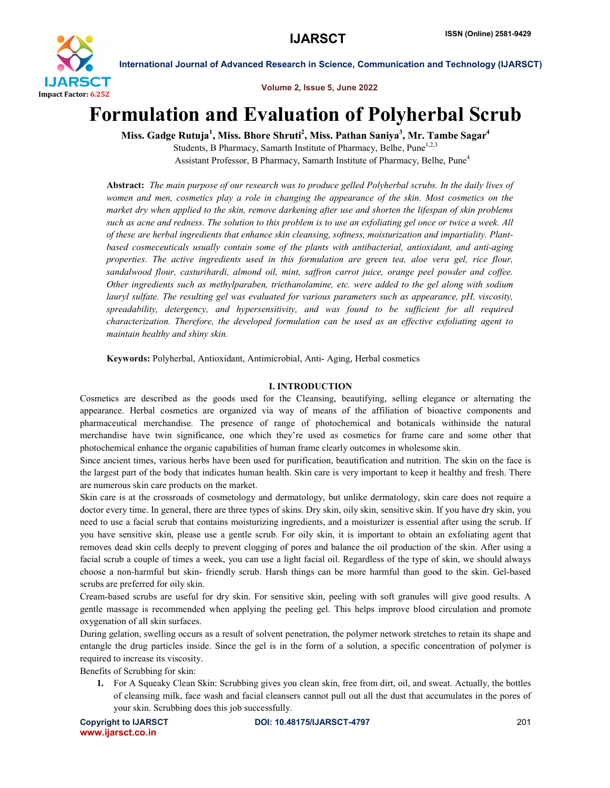

Volume 2, Issue 5, June 2022

# Formulation and Evaluation of Polyherbal Scrub

Miss. Gadge Rutuja<sup>1</sup>, Miss. Bhore Shruti<sup>2</sup>, Miss. Pathan Saniya<sup>3</sup>, Mr. Tambe Sagar<sup>4</sup>

Students, B Pharmacy, Samarth Institute of Pharmacy, Belhe, Pune<sup>1,2,3</sup> Assistant Professor, B Pharmacy, Samarth Institute of Pharmacy, Belhe, Pune<sup>4</sup>

Abstract: *The main purpose of our research was to produce gelled Polyherbal scrubs. In the daily lives of women and men, cosmetics play a role in changing the appearance of the skin. Most cosmetics on the market dry when applied to the skin, remove darkening after use and shorten the lifespan of skin problems such as acne and redness. The solution to this problem is to use an exfoliating gel once or twice a week. All of these are herbal ingredients that enhance skin cleansing, softness, moisturization and impartiality. Plantbased cosmeceuticals usually contain some of the plants with antibacterial, antioxidant, and anti-aging properties. The active ingredients used in this formulation are green tea, aloe vera gel, rice flour, sandalwood flour, casturihardi, almond oil, mint, saffron carrot juice, orange peel powder and coffee. Other ingredients such as methylparaben, triethanolamine, etc. were added to the gel along with sodium lauryl sulfate. The resulting gel was evaluated for various parameters such as appearance, pH, viscosity, spreadability, detergency, and hypersensitivity, and was found to be sufficient for all required characterization. Therefore, the developed formulation can be used as an effective exfoliating agent to maintain healthy and shiny skin.*

Keywords: Polyherbal, Antioxidant, Antimicrobial, Anti- Aging, Herbal cosmetics

### I. INTRODUCTION

Cosmetics are described as the goods used for the Cleansing, beautifying, selling elegance or alternating the appearance. Herbal cosmetics are organized via way of means of the affiliation of bioactive components and pharmaceutical merchandise. The presence of range of photochemical and botanicals withinside the natural merchandise have twin significance, one which they're used as cosmetics for frame care and some other that photochemical enhance the organic capabilities of human frame clearly outcomes in wholesome skin.

Since ancient times, various herbs have been used for purification, beautification and nutrition. The skin on the face is the largest part of the body that indicates human health. Skin care is very important to keep it healthy and fresh. There are numerous skin care products on the market.

Skin care is at the crossroads of cosmetology and dermatology, but unlike dermatology, skin care does not require a doctor every time. In general, there are three types of skins. Dry skin, oily skin, sensitive skin. If you have dry skin, you need to use a facial scrub that contains moisturizing ingredients, and a moisturizer is essential after using the scrub. If you have sensitive skin, please use a gentle scrub. For oily skin, it is important to obtain an exfoliating agent that removes dead skin cells deeply to prevent clogging of pores and balance the oil production of the skin. After using a facial scrub a couple of times a week, you can use a light facial oil. Regardless of the type of skin, we should always choose a non-harmful but skin- friendly scrub. Harsh things can be more harmful than good to the skin. Gel-based scrubs are preferred for oily skin.

Cream-based scrubs are useful for dry skin. For sensitive skin, peeling with soft granules will give good results. A gentle massage is recommended when applying the peeling gel. This helps improve blood circulation and promote oxygenation of all skin surfaces.

During gelation, swelling occurs as a result of solvent penetration, the polymer network stretches to retain its shape and entangle the drug particles inside. Since the gel is in the form of a solution, a specific concentration of polymer is required to increase its viscosity.

Benefits of Scrubbing for skin:

1. For A Squeaky Clean Skin: Scrubbing gives you clean skin, free from dirt, oil, and sweat. Actually, the bottles of cleansing milk, face wash and facial cleansers cannot pull out all the dust that accumulates in the pores of your skin. Scrubbing does this job successfully.

www.ijarsct.co.in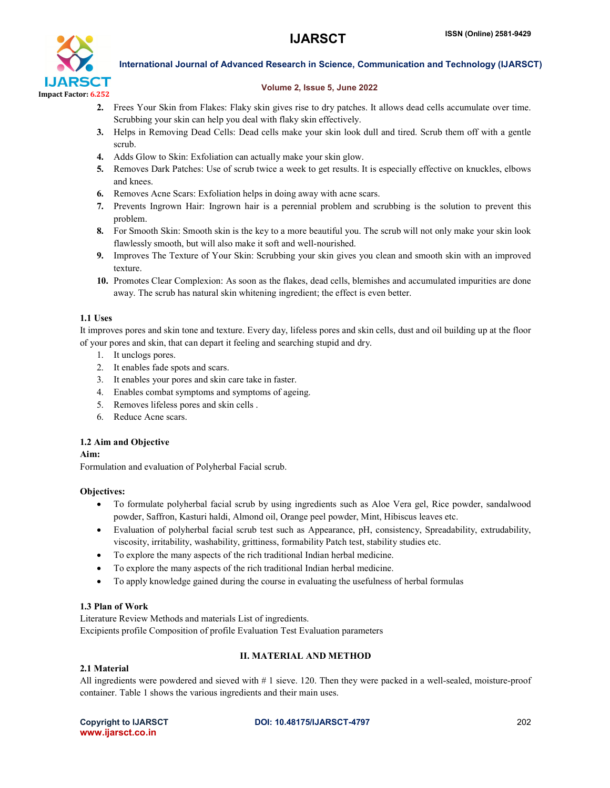

#### Volume 2, Issue 5, June 2022

- 2. Frees Your Skin from Flakes: Flaky skin gives rise to dry patches. It allows dead cells accumulate over time. Scrubbing your skin can help you deal with flaky skin effectively.
- 3. Helps in Removing Dead Cells: Dead cells make your skin look dull and tired. Scrub them off with a gentle scrub.
- 4. Adds Glow to Skin: Exfoliation can actually make your skin glow.
- 5. Removes Dark Patches: Use of scrub twice a week to get results. It is especially effective on knuckles, elbows and knees.
- 6. Removes Acne Scars: Exfoliation helps in doing away with acne scars.
- 7. Prevents Ingrown Hair: Ingrown hair is a perennial problem and scrubbing is the solution to prevent this problem.
- 8. For Smooth Skin: Smooth skin is the key to a more beautiful you. The scrub will not only make your skin look flawlessly smooth, but will also make it soft and well-nourished.
- 9. Improves The Texture of Your Skin: Scrubbing your skin gives you clean and smooth skin with an improved texture.
- 10. Promotes Clear Complexion: As soon as the flakes, dead cells, blemishes and accumulated impurities are done away. The scrub has natural skin whitening ingredient; the effect is even better.

# 1.1 Uses

It improves pores and skin tone and texture. Every day, lifeless pores and skin cells, dust and oil building up at the floor of your pores and skin, that can depart it feeling and searching stupid and dry.

- 1. It unclogs pores.
- 2. It enables fade spots and scars.
- 3. It enables your pores and skin care take in faster.
- 4. Enables combat symptoms and symptoms of ageing.
- 5. Removes lifeless pores and skin cells .
- 6. Reduce Acne scars.

# 1.2 Aim and Objective

Aim:

Formulation and evaluation of Polyherbal Facial scrub.

# Objectives:

- To formulate polyherbal facial scrub by using ingredients such as Aloe Vera gel, Rice powder, sandalwood powder, Saffron, Kasturi haldi, Almond oil, Orange peel powder, Mint, Hibiscus leaves etc.
- Evaluation of polyherbal facial scrub test such as Appearance, pH, consistency, Spreadability, extrudability, viscosity, irritability, washability, grittiness, formability Patch test, stability studies etc.
- To explore the many aspects of the rich traditional Indian herbal medicine.
- To explore the many aspects of the rich traditional Indian herbal medicine.
- To apply knowledge gained during the course in evaluating the usefulness of herbal formulas

# 1.3 Plan of Work

Literature Review Methods and materials List of ingredients. Excipients profile Composition of profile Evaluation Test Evaluation parameters

# II. MATERIAL AND METHOD

# 2.1 Material

All ingredients were powdered and sieved with # 1 sieve. 120. Then they were packed in a well-sealed, moisture-proof container. Table 1 shows the various ingredients and their main uses.

www.ijarsct.co.in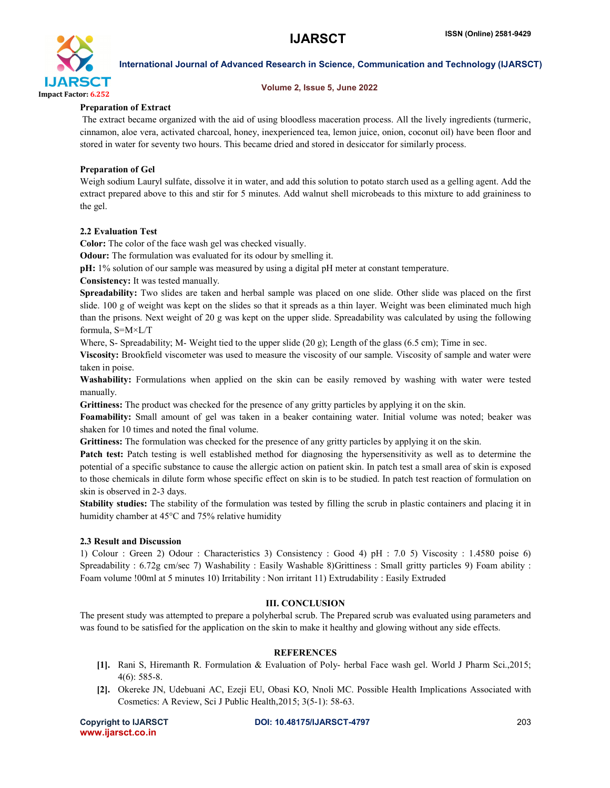

#### Volume 2, Issue 5, June 2022

# Preparation of Extract

The extract became organized with the aid of using bloodless maceration process. All the lively ingredients (turmeric, cinnamon, aloe vera, activated charcoal, honey, inexperienced tea, lemon juice, onion, coconut oil) have been floor and stored in water for seventy two hours. This became dried and stored in desiccator for similarly process.

# Preparation of Gel

Weigh sodium Lauryl sulfate, dissolve it in water, and add this solution to potato starch used as a gelling agent. Add the extract prepared above to this and stir for 5 minutes. Add walnut shell microbeads to this mixture to add graininess to the gel.

### 2.2 Evaluation Test

Color: The color of the face wash gel was checked visually.

Odour: The formulation was evaluated for its odour by smelling it.

pH: 1% solution of our sample was measured by using a digital pH meter at constant temperature.

Consistency: It was tested manually.

Spreadability: Two slides are taken and herbal sample was placed on one slide. Other slide was placed on the first slide. 100 g of weight was kept on the slides so that it spreads as a thin layer. Weight was been eliminated much high than the prisons. Next weight of 20 g was kept on the upper slide. Spreadability was calculated by using the following formula, S=M×L/T

Where, S- Spreadability; M- Weight tied to the upper slide (20 g); Length of the glass (6.5 cm); Time in sec.

Viscosity: Brookfield viscometer was used to measure the viscosity of our sample. Viscosity of sample and water were taken in poise.

Washability: Formulations when applied on the skin can be easily removed by washing with water were tested manually.

Grittiness: The product was checked for the presence of any gritty particles by applying it on the skin.

Foamability: Small amount of gel was taken in a beaker containing water. Initial volume was noted; beaker was shaken for 10 times and noted the final volume.

Grittiness: The formulation was checked for the presence of any gritty particles by applying it on the skin.

Patch test: Patch testing is well established method for diagnosing the hypersensitivity as well as to determine the potential of a specific substance to cause the allergic action on patient skin. In patch test a small area of skin is exposed to those chemicals in dilute form whose specific effect on skin is to be studied. In patch test reaction of formulation on skin is observed in 2-3 days.

Stability studies: The stability of the formulation was tested by filling the scrub in plastic containers and placing it in humidity chamber at 45°C and 75% relative humidity

#### 2.3 Result and Discussion

1) Colour : Green 2) Odour : Characteristics 3) Consistency : Good 4) pH : 7.0 5) Viscosity : 1.4580 poise 6) Spreadability : 6.72g cm/sec 7) Washability : Easily Washable 8)Grittiness : Small gritty particles 9) Foam ability : Foam volume !00ml at 5 minutes 10) Irritability : Non irritant 11) Extrudability : Easily Extruded

#### III. CONCLUSION

The present study was attempted to prepare a polyherbal scrub. The Prepared scrub was evaluated using parameters and was found to be satisfied for the application on the skin to make it healthy and glowing without any side effects.

# **REFERENCES**

- [1]. Rani S, Hiremanth R. Formulation & Evaluation of Poly- herbal Face wash gel. World J Pharm Sci.,2015; 4(6): 585-8.
- [2]. Okereke JN, Udebuani AC, Ezeji EU, Obasi KO, Nnoli MC. Possible Health Implications Associated with Cosmetics: A Review, Sci J Public Health,2015; 3(5-1): 58-63.

www.ijarsct.co.in